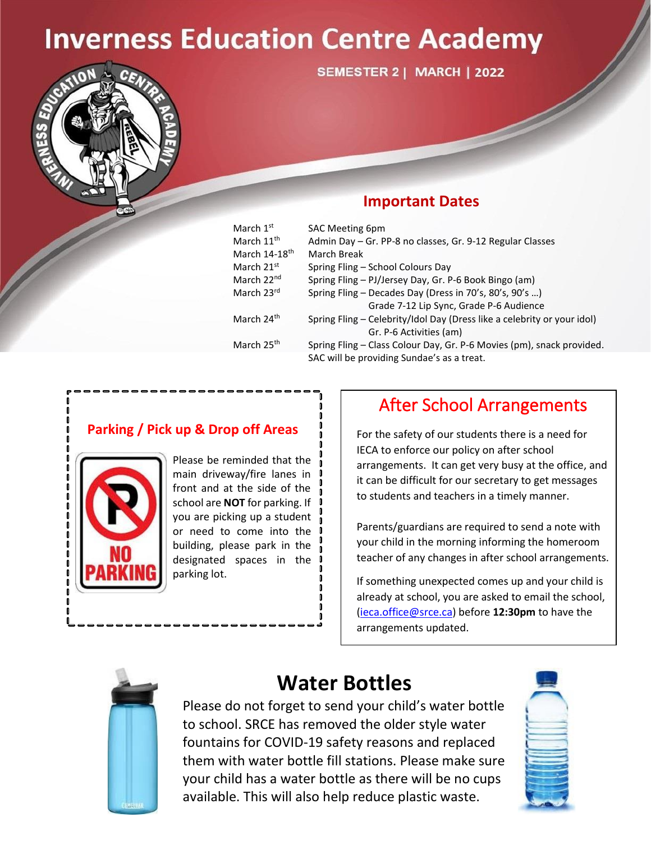# **Inverness Education Centre Academy**



**SEMESTER 2 | MARCH | 2022** 

### **Important Dates**

| March $1st$               | <b>SAC Meeting 6pm</b>                                                  |  |  |  |  |  |  |
|---------------------------|-------------------------------------------------------------------------|--|--|--|--|--|--|
| March 11 <sup>th</sup>    | Admin Day - Gr. PP-8 no classes, Gr. 9-12 Regular Classes               |  |  |  |  |  |  |
| March 14-18 <sup>th</sup> | March Break                                                             |  |  |  |  |  |  |
| March $21st$              | Spring Fling - School Colours Day                                       |  |  |  |  |  |  |
| March 22 <sup>nd</sup>    | Spring Fling - PJ/Jersey Day, Gr. P-6 Book Bingo (am)                   |  |  |  |  |  |  |
| March 23rd                | Spring Fling - Decades Day (Dress in 70's, 80's, 90's )                 |  |  |  |  |  |  |
|                           | Grade 7-12 Lip Sync, Grade P-6 Audience                                 |  |  |  |  |  |  |
| March 24 <sup>th</sup>    | Spring Fling - Celebrity/Idol Day (Dress like a celebrity or your idol) |  |  |  |  |  |  |
|                           | Gr. P-6 Activities (am)                                                 |  |  |  |  |  |  |
| March 25 <sup>th</sup>    | Spring Fling - Class Colour Day, Gr. P-6 Movies (pm), snack provided.   |  |  |  |  |  |  |
|                           | SAC will be providing Sundae's as a treat.                              |  |  |  |  |  |  |

### **Parking / Pick up & Drop off Areas**



Please be reminded that the main driveway/fire lanes in front and at the side of the school are **NOT** for parking. If you are picking up a student or need to come into the building, please park in the designated spaces in the parking lot.

## After School Arrangements

For the safety of our students there is a need for IECA to enforce our policy on after school arrangements. It can get very busy at the office, and it can be difficult for our secretary to get messages to students and teachers in a timely manner.

Parents/guardians are required to send a note with your child in the morning informing the homeroom teacher of any changes in after school arrangements.

If something unexpected comes up and your child is already at school, you are asked to email the school, [\(ieca.office@srce.ca\)](mailto:ieca.office@srce.ca) before **12:30pm** to have the arrangements updated.



## **Water Bottles**

 $\mathbb{R}$  to school. SRCE has removed the older style water **Figure 19 September 19 Sole of the fountains for COVID-19 safety reasons and replaced** them with water bottle fill stations. Please make sure your child has a water bottle as there will be no cups  $\mathbb{R}$  available. This will also help reduce plastic waste. Please do not forget to send your child's water bottle

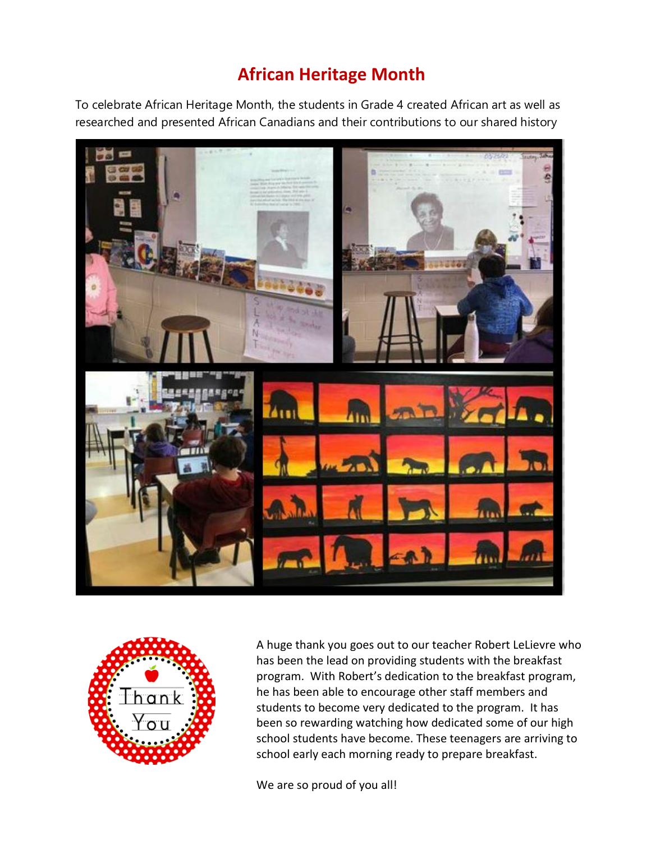## **African Heritage Month**

To celebrate African Heritage Month, the students in Grade 4 created African art as well as researched and presented African Canadians and their contributions to our shared history





A huge thank you goes out to our teacher Robert LeLievre who has been the lead on providing students with the breakfast program. With Robert's dedication to the breakfast program, he has been able to encourage other staff members and students to become very dedicated to the program. It has been so rewarding watching how dedicated some of our high school students have become. These teenagers are arriving to school early each morning ready to prepare breakfast.

We are so proud of you all!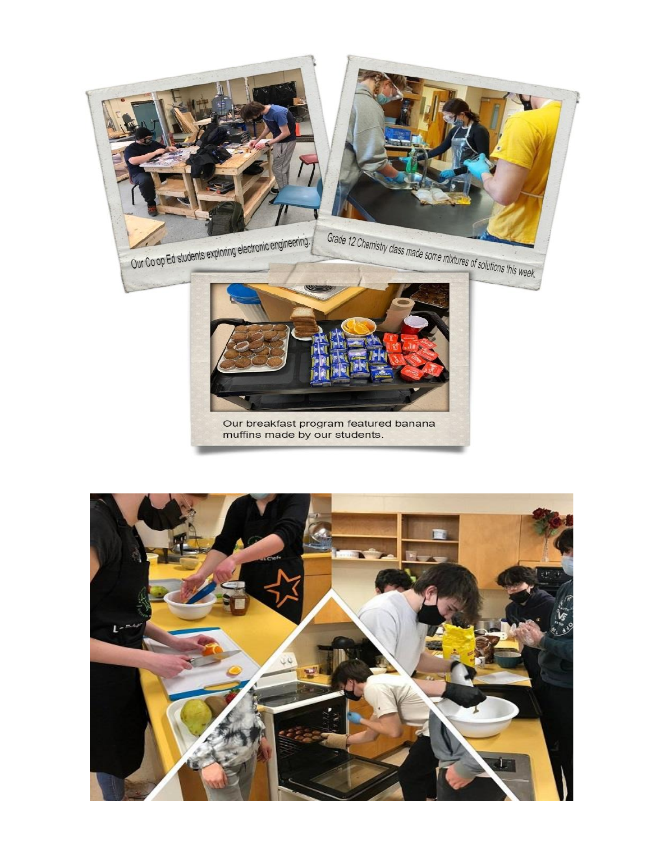

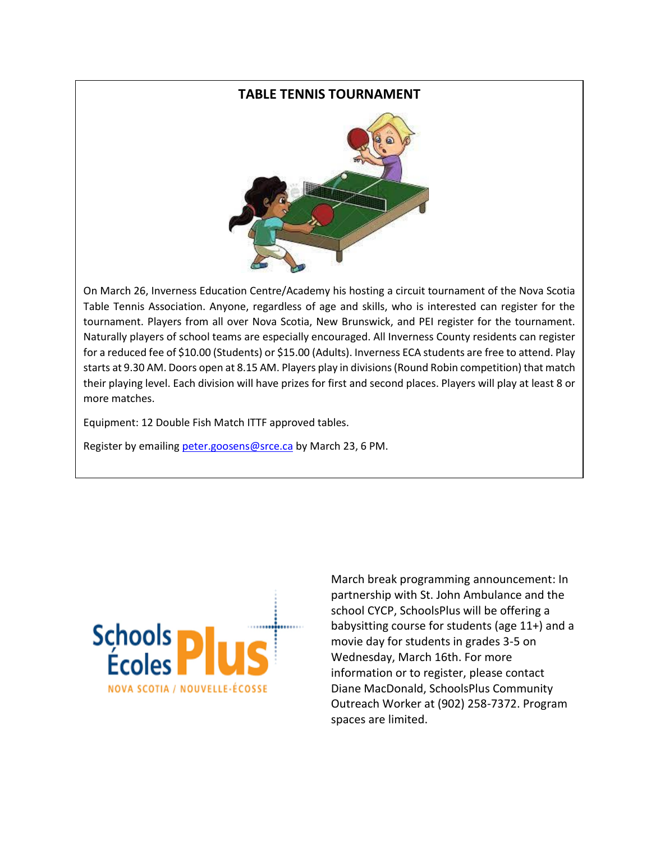#### **TABLE TENNIS TOURNAMENT**



On March 26, Inverness Education Centre/Academy his hosting a circuit tournament of the Nova Scotia Table Tennis Association. Anyone, regardless of age and skills, who is interested can register for the tournament. Players from all over Nova Scotia, New Brunswick, and PEI register for the tournament. Naturally players of school teams are especially encouraged. All Inverness County residents can register for a reduced fee of \$10.00 (Students) or \$15.00 (Adults). Inverness ECA students are free to attend. Play starts at 9.30 AM. Doors open at 8.15 AM. Players play in divisions (Round Robin competition) that match their playing level. Each division will have prizes for first and second places. Players will play at least 8 or more matches.

Equipment: 12 Double Fish Match ITTF approved tables.

Register by emailing [peter.goosens@srce.ca](mailto:peter.goosens@srce.ca) by March 23, 6 PM.



March break programming announcement: In partnership with St. John Ambulance and the school CYCP, SchoolsPlus will be offering a babysitting course for students (age 11+) and a movie day for students in grades 3-5 on Wednesday, March 16th. For more information or to register, please contact Diane MacDonald, SchoolsPlus Community Outreach Worker at (902) 258-7372. Program spaces are limited.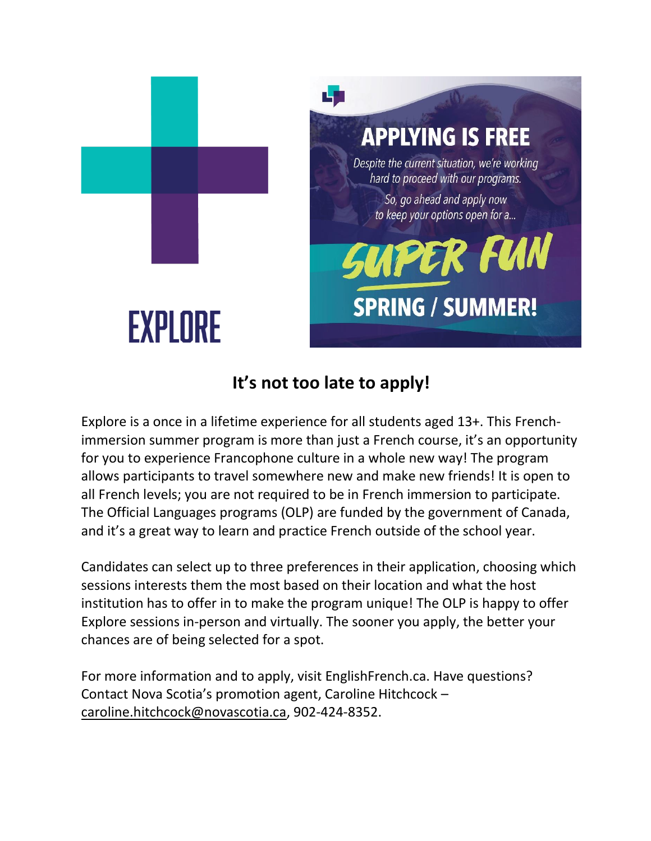

## **It's not too late to apply!**

Explore is a once in a lifetime experience for all students aged 13+. This Frenchimmersion summer program is more than just a French course, it's an opportunity for you to experience Francophone culture in a whole new way! The program allows participants to travel somewhere new and make new friends! It is open to all French levels; you are not required to be in French immersion to participate. The Official Languages programs (OLP) are funded by the government of Canada, and it's a great way to learn and practice French outside of the school year.

Candidates can select up to three preferences in their application, choosing which sessions interests them the most based on their location and what the host institution has to offer in to make the program unique! The OLP is happy to offer Explore sessions in-person and virtually. The sooner you apply, the better your chances are of being selected for a spot.

For more information and to apply, visit EnglishFrench.ca. Have questions? Contact Nova Scotia's promotion agent, Caroline Hitchcock – [caroline.hitchcock@novascotia.ca,](mailto:caroline.hitchcock@novascotia.ca) 902-424-8352.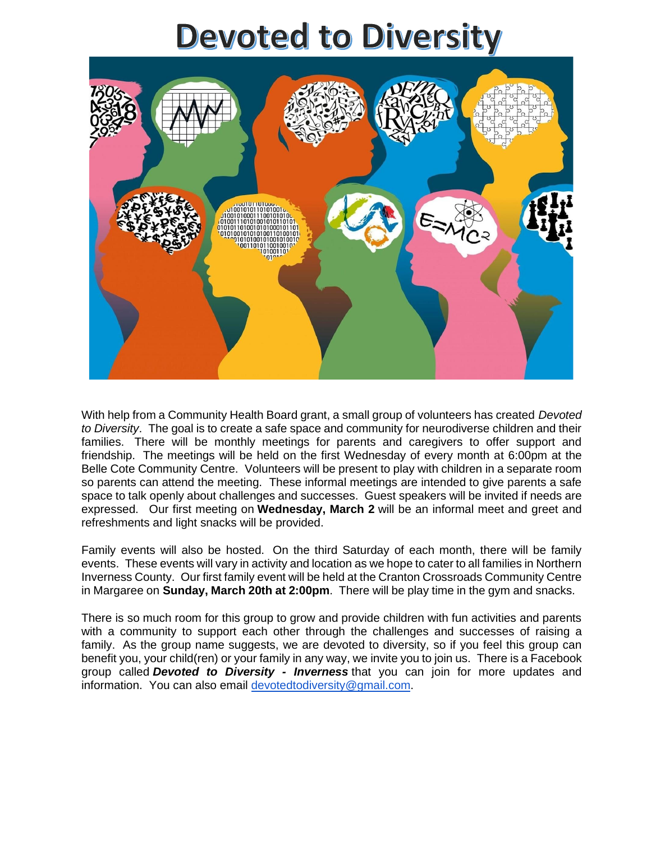# **Devoted to Diversity**



With help from a Community Health Board grant, a small group of volunteers has created *Devoted to Diversity*. The goal is to create a safe space and community for neurodiverse children and their families. There will be monthly meetings for parents and caregivers to offer support and friendship. The meetings will be held on the first Wednesday of every month at 6:00pm at the Belle Cote Community Centre. Volunteers will be present to play with children in a separate room so parents can attend the meeting. These informal meetings are intended to give parents a safe space to talk openly about challenges and successes. Guest speakers will be invited if needs are expressed. Our first meeting on **Wednesday, March 2** will be an informal meet and greet and refreshments and light snacks will be provided.

Family events will also be hosted. On the third Saturday of each month, there will be family events. These events will vary in activity and location as we hope to cater to all families in Northern Inverness County. Our first family event will be held at the Cranton Crossroads Community Centre in Margaree on **Sunday, March 20th at 2:00pm**. There will be play time in the gym and snacks.

There is so much room for this group to grow and provide children with fun activities and parents with a community to support each other through the challenges and successes of raising a family. As the group name suggests, we are devoted to diversity, so if you feel this group can benefit you, your child(ren) or your family in any way, we invite you to join us. There is a Facebook group called *Devoted to Diversity - Inverness* that you can join for more updates and information. You can also email [devotedtodiversity@gmail.com.](mailto:devotedtodiversity@gmail.com)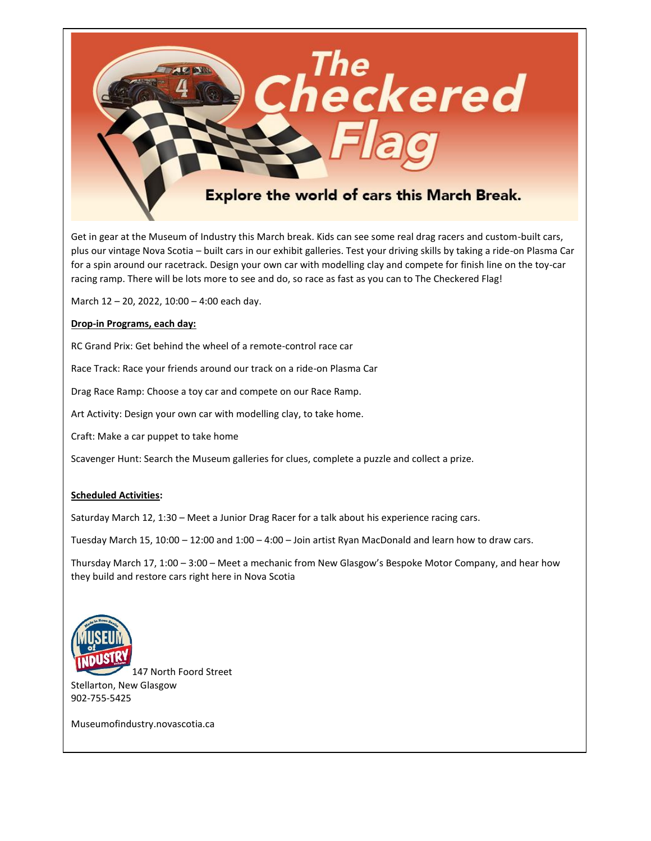

Get in gear at the Museum of Industry this March break. Kids can see some real drag racers and custom-built cars, plus our vintage Nova Scotia – built cars in our exhibit galleries. Test your driving skills by taking a ride-on Plasma Car for a spin around our racetrack. Design your own car with modelling clay and compete for finish line on the toy-car racing ramp. There will be lots more to see and do, so race as fast as you can to The Checkered Flag!

March 12 – 20, 2022, 10:00 – 4:00 each day.

#### **Drop-in Programs, each day:**

RC Grand Prix: Get behind the wheel of a remote-control race car

Race Track: Race your friends around our track on a ride-on Plasma Car

Drag Race Ramp: Choose a toy car and compete on our Race Ramp.

Art Activity: Design your own car with modelling clay, to take home.

Craft: Make a car puppet to take home

Scavenger Hunt: Search the Museum galleries for clues, complete a puzzle and collect a prize.

#### **Scheduled Activities:**

Saturday March 12, 1:30 – Meet a Junior Drag Racer for a talk about his experience racing cars.

Tuesday March 15, 10:00 – 12:00 and 1:00 – 4:00 – Join artist Ryan MacDonald and learn how to draw cars.

Thursday March 17, 1:00 – 3:00 – Meet a mechanic from New Glasgow's Bespoke Motor Company, and hear how they build and restore cars right here in Nova Scotia



147 North Foord Street Stellarton, New Glasgow 902-755-5425

Museumofindustry.novascotia.ca